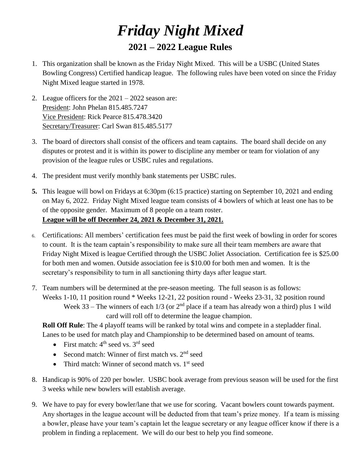## *Friday Night Mixed* **2021 – 2022 League Rules**

- 1. This organization shall be known as the Friday Night Mixed. This will be a USBC (United States Bowling Congress) Certified handicap league. The following rules have been voted on since the Friday Night Mixed league started in 1978.
- 2. League officers for the 2021 2022 season are: President: John Phelan 815.485.7247 Vice President: Rick Pearce 815.478.3420 Secretary/Treasurer: Carl Swan 815.485.5177
- 3. The board of directors shall consist of the officers and team captains. The board shall decide on any disputes or protest and it is within its power to discipline any member or team for violation of any provision of the league rules or USBC rules and regulations.
- 4. The president must verify monthly bank statements per USBC rules.
- **5.** This league will bowl on Fridays at 6:30pm (6:15 practice) starting on September 10, 2021 and ending on May 6, 2022. Friday Night Mixed league team consists of 4 bowlers of which at least one has to be of the opposite gender. Maximum of 8 people on a team roster. **League will be off December 24, 2021 & December 31, 2021.**
- 6. Certifications: All members' certification fees must be paid the first week of bowling in order for scores to count. It is the team captain's responsibility to make sure all their team members are aware that Friday Night Mixed is league Certified through the USBC Joliet Association. Certification fee is \$25.00 for both men and women. Outside association fee is \$10.00 for both men and women. It is the secretary's responsibility to turn in all sanctioning thirty days after league start.
- 7. Team numbers will be determined at the pre-season meeting. The full season is as follows: Weeks 1-10, 11 position round \* Weeks 12-21, 22 position round - Weeks 23-31, 32 position round Week 33 – The winners of each  $1/3$  (or  $2<sup>nd</sup>$  place if a team has already won a third) plus 1 wild card will roll off to determine the league champion.

**Roll Off Rule**: The 4 playoff teams will be ranked by total wins and compete in a stepladder final. Lanes to be used for match play and Championship to be determined based on amount of teams.

- First match:  $4<sup>th</sup>$  seed vs.  $3<sup>rd</sup>$  seed
- Second match: Winner of first match vs.  $2<sup>nd</sup>$  seed
- Third match: Winner of second match vs.  $1<sup>st</sup>$  seed
- 8. Handicap is 90% of 220 per bowler. USBC book average from previous season will be used for the first 3 weeks while new bowlers will establish average.
- 9. We have to pay for every bowler/lane that we use for scoring. Vacant bowlers count towards payment. Any shortages in the league account will be deducted from that team's prize money. If a team is missing a bowler, please have your team's captain let the league secretary or any league officer know if there is a problem in finding a replacement. We will do our best to help you find someone.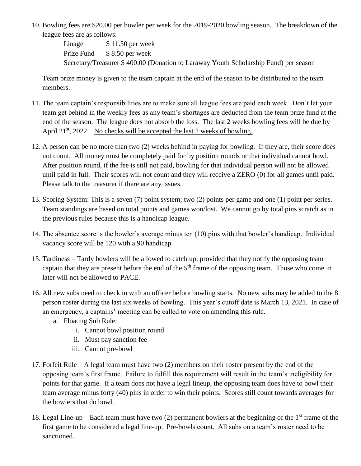10. Bowling fees are \$20.00 per bowler per week for the 2019-2020 bowling season. The breakdown of the league fees are as follows:

> Linage  $$ 11.50$  per week Prize Fund \$ 8.50 per week Secretary/Treasurer \$ 400.00 (Donation to Laraway Youth Scholarship Fund) per season

Team prize money is given to the team captain at the end of the season to be distributed to the team members.

- 11. The team captain's responsibilities are to make sure all league fees are paid each week. Don't let your team get behind in the weekly fees as any team's shortages are deducted from the team prize fund at the end of the season. The league does not absorb the loss. The last 2 weeks bowling fees will be due by April 21<sup>st</sup>, 2022. No checks will be accepted the last 2 weeks of bowling.
- 12. A person can be no more than two (2) weeks behind in paying for bowling. If they are, their score does not count. All money must be completely paid for by position rounds or that individual cannot bowl. After position round, if the fee is still not paid, bowling for that individual person will not be allowed until paid in full. Their scores will not count and they will receive a ZERO (0) for all games until paid. Please talk to the treasurer if there are any issues.
- 13. Scoring System: This is a seven (7) point system; two (2) points per game and one (1) point per series. Team standings are based on total points and games won/lost. We cannot go by total pins scratch as in the previous rules because this is a handicap league.
- 14. The absentee score is the bowler's average minus ten (10) pins with that bowler's handicap. Individual vacancy score will be 120 with a 90 handicap.
- 15. Tardiness Tardy bowlers will be allowed to catch up, provided that they notify the opposing team captain that they are present before the end of the 5<sup>th</sup> frame of the opposing team. Those who come in later will not be allowed to PACE.
- 16. All new subs need to check in with an officer before bowling starts. No new subs may be added to the 8 person roster during the last six weeks of bowling. This year's cutoff date is March 13, 2021. In case of an emergency, a captains' meeting can be called to vote on amending this rule.
	- a. Floating Sub Rule:
		- i. Cannot bowl position round
		- ii. Must pay sanction fee
		- iii. Cannot pre-bowl
- 17. Forfeit Rule A legal team must have two (2) members on their roster present by the end of the opposing team's first frame. Failure to fulfill this requirement will result in the team's ineligibility for points for that game. If a team does not have a legal lineup, the opposing team does have to bowl their team average minus forty (40) pins in order to win their points. Scores still count towards averages for the bowlers that do bowl.
- 18. Legal Line-up Each team must have two (2) permanent bowlers at the beginning of the 1<sup>st</sup> frame of the first game to be considered a legal line-up. Pre-bowls count. All subs on a team's roster need to be sanctioned.